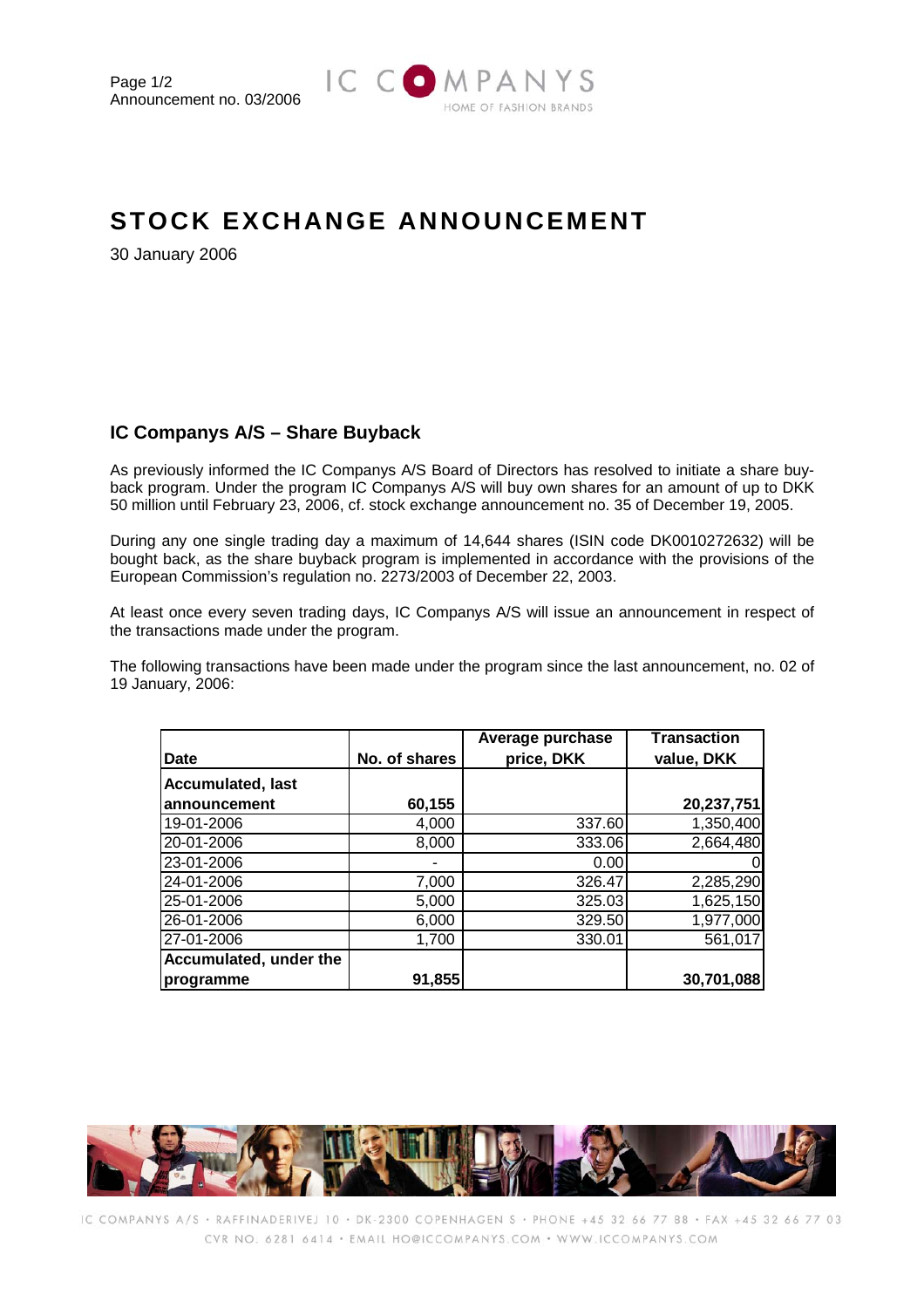

## **STOCK EXCHANGE ANNOUNCEMENT**

30 January 2006

## **IC Companys A/S – Share Buyback**

As previously informed the IC Companys A/S Board of Directors has resolved to initiate a share buyback program. Under the program IC Companys A/S will buy own shares for an amount of up to DKK 50 million until February 23, 2006, cf. stock exchange announcement no. 35 of December 19, 2005.

During any one single trading day a maximum of 14,644 shares (ISIN code DK0010272632) will be bought back, as the share buyback program is implemented in accordance with the provisions of the European Commission's regulation no. 2273/2003 of December 22, 2003.

At least once every seven trading days, IC Companys A/S will issue an announcement in respect of the transactions made under the program.

The following transactions have been made under the program since the last announcement, no. 02 of 19 January, 2006:

|                          |               | Average purchase | <b>Transaction</b> |
|--------------------------|---------------|------------------|--------------------|
| <b>Date</b>              | No. of shares | price, DKK       | value, DKK         |
| <b>Accumulated, last</b> |               |                  |                    |
| lannouncement            | 60,155        |                  | 20,237,751         |
| 19-01-2006               | 4,000         | 337.60           | 1,350,400          |
| 20-01-2006               | 8,000         | 333.06           | 2,664,480          |
| 23-01-2006               |               | 0.00             |                    |
| 24-01-2006               | 7,000         | 326.47           | 2,285,290          |
| 25-01-2006               | 5,000         | 325.03           | 1,625,150          |
| 26-01-2006               | 6,000         | 329.50           | 1,977,000          |
| 27-01-2006               | 1,700         | 330.01           | 561,017            |
| Accumulated, under the   |               |                  |                    |
| programme                | 91,855        |                  | 30,701,088         |



IC COMPANYS A/S · RAFFINADERIVEJ 10 · DK-2300 COPENHAGEN S · PHONE +45 32 66 77 88 · FAX +45 32 66 77 03 CVR NO: 6281 6414 · EMAIL HO@ICCOMPANYS.COM · WWW.ICCOMPANYS.COM